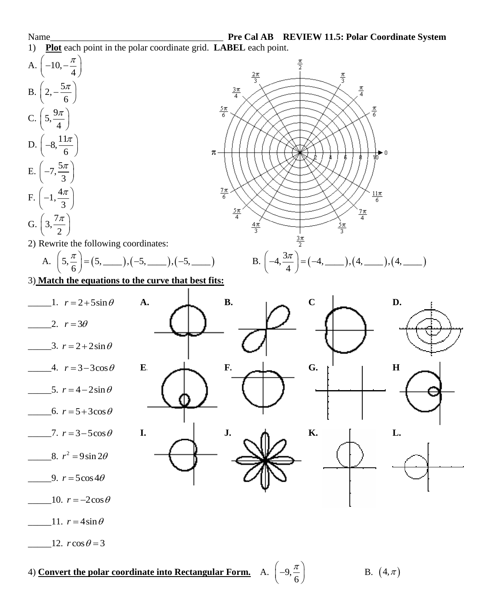

4) **Convert the polar coordinate into Rectangular Form.** A. 9,

B.  $(4, \pi)$ 

6